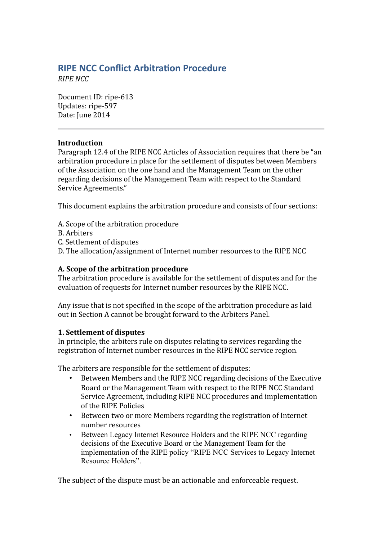# **RIPE NCC Confict Arbitraton Procedure**

*RIPE NCC*

Document ID: ripe-613 Updates: ripe-597 Date: June 2014

### **Introduction**

Paragraph 12.4 of the RIPE NCC Articles of Association requires that there be "an arbitration procedure in place for the settlement of disputes between Members of the Association on the one hand and the Management Team on the other regarding decisions of the Management Team with respect to the Standard Service Agreements."

This document explains the arbitration procedure and consists of four sections:

- A. Scope of the arbitration procedure
- B. Arbiters
- C. Settlement of disputes
- D. The allocation/assignment of Internet number resources to the RIPE NCC

### **A. Scope of the arbitration procedure**

The arbitration procedure is available for the settlement of disputes and for the evaluation of requests for Internet number resources by the RIPE NCC.

Any issue that is not specified in the scope of the arbitration procedure as laid out in Section A cannot be brought forward to the Arbiters Panel.

### **1. Settlement of disputes**

In principle, the arbiters rule on disputes relating to services regarding the registration of Internet number resources in the RIPE NCC service region.

The arbiters are responsible for the settlement of disputes:

- Between Members and the RIPE NCC regarding decisions of the Executive Board or the Management Team with respect to the RIPE NCC Standard Service Agreement, including RIPE NCC procedures and implementation of the RIPE Policies
- Between two or more Members regarding the registration of Internet number resources
- Between Legacy Internet Resource Holders and the RIPE NCC regarding decisions of the Executive Board or the Management Team for the implementation of the RIPE policy "RIPE NCC Services to Legacy Internet Resource Holders".

The subject of the dispute must be an actionable and enforceable request.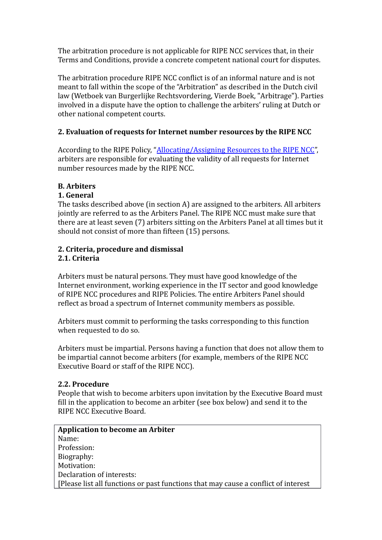The arbitration procedure is not applicable for RIPE NCC services that, in their Terms and Conditions, provide a concrete competent national court for disputes.

The arbitration procedure RIPE NCC conflict is of an informal nature and is not meant to fall within the scope of the "Arbitration" as described in the Dutch civil law (Wetboek van Burgerlijke Rechtsvordering, Vierde Boek, "Arbitrage"). Parties involved in a dispute have the option to challenge the arbiters' ruling at Dutch or other national competent courts.

### **2. Evaluation of requests for Internet number resources by the RIPE NCC**

According to the RIPE Policy, ["Allocating/Assigning Resources to the RIPE NCC"](https://www.ripe.net/ripe/docs/ncc-resources), arbiters are responsible for evaluating the validity of all requests for Internet number resources made by the RIPE NCC.

### **B. Arbiters**

### **1. General**

The tasks described above (in section A) are assigned to the arbiters. All arbiters jointly are referred to as the Arbiters Panel. The RIPE NCC must make sure that there are at least seven (7) arbiters sitting on the Arbiters Panel at all times but it should not consist of more than fifteen (15) persons.

### **2. Criteria, procedure and dismissal 2.1. Criteria**

Arbiters must be natural persons. They must have good knowledge of the Internet environment, working experience in the IT sector and good knowledge of RIPE NCC procedures and RIPE Policies. The entire Arbiters Panel should reflect as broad a spectrum of Internet community members as possible.

Arbiters must commit to performing the tasks corresponding to this function when requested to do so.

Arbiters must be impartial. Persons having a function that does not allow them to be impartial cannot become arbiters (for example, members of the RIPE NCC Executive Board or staff of the RIPE NCC).

### **2.2. Procedure**

People that wish to become arbiters upon invitation by the Executive Board must fill in the application to become an arbiter (see box below) and send it to the RIPE NCC Executive Board.

**Application to become an Arbiter** Name: Profession: Biography: Motivation: Declaration of interests: [Please list all functions or past functions that may cause a conflict of interest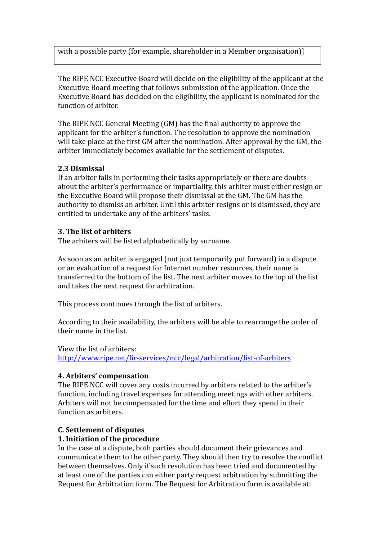with a possible party (for example, shareholder in a Member organisation)]

The RIPE NCC Executive Board will decide on the eligibility of the applicant at the Executive Board meeting that follows submission of the application. Once the Executive Board has decided on the eligibility, the applicant is nominated for the function of arbiter.

The RIPE NCC General Meeting (GM) has the final authority to approve the applicant for the arbiter's function. The resolution to approve the nomination will take place at the first GM after the nomination. After approval by the GM, the arbiter immediately becomes available for the settlement of disputes.

#### **2.3 Dismissal**

If an arbiter fails in performing their tasks appropriately or there are doubts about the arbiter's performance or impartiality, this arbiter must either resign or the Executive Board will propose their dismissal at the GM. The GM has the authority to dismiss an arbiter. Until this arbiter resigns or is dismissed, they are entitled to undertake any of the arbiters' tasks.

### **3. The list of arbiters**

The arbiters will be listed alphabetically by surname.

As soon as an arbiter is engaged (not just temporarily put forward) in a dispute or an evaluation of a request for Internet number resources, their name is transferred to the bottom of the list. The next arbiter moves to the top of the list and takes the next request for arbitration.

This process continues through the list of arbiters.

According to their availability, the arbiters will be able to rearrange the order of their name in the list.

View the list of arbiters: <http://www.ripe.net/lir-services/ncc/legal/arbitration/list-of-arbiters>

### **4. Arbiters' compensation**

The RIPE NCC will cover any costs incurred by arbiters related to the arbiter's function, including travel expenses for attending meetings with other arbiters. Arbiters will not be compensated for the time and effort they spend in their function as arbiters.

#### **C. Settlement of disputes**

#### **1. Initiation of the procedure**

In the case of a dispute, both parties should document their grievances and communicate them to the other party. They should then try to resolve the conflict between themselves. Only if such resolution has been tried and documented by at least one of the parties can either party request arbitration by submitting the Request for Arbitration form. The Request for Arbitration form is available at: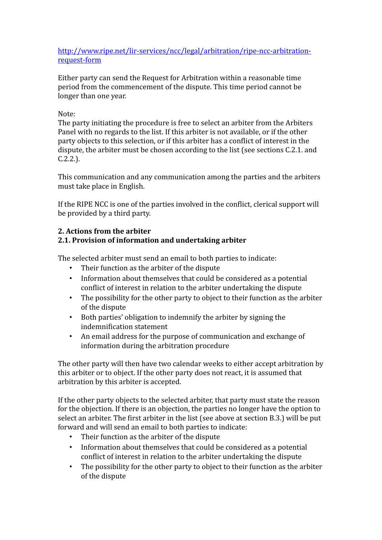[http://www.ripe.net/lir-services/ncc/legal/arbitration/ripe-ncc-arbitration](http://www.ripe.net/lir-services/ncc/legal/arbitration/ripe-ncc-arbitration-request-form)[request-form](http://www.ripe.net/lir-services/ncc/legal/arbitration/ripe-ncc-arbitration-request-form)

Either party can send the Request for Arbitration within a reasonable time period from the commencement of the dispute. This time period cannot be longer than one year.

#### Note:

The party initiating the procedure is free to select an arbiter from the Arbiters Panel with no regards to the list. If this arbiter is not available, or if the other party objects to this selection, or if this arbiter has a conflict of interest in the dispute, the arbiter must be chosen according to the list (see sections C.2.1. and C.2.2.).

This communication and any communication among the parties and the arbiters must take place in English.

If the RIPE NCC is one of the parties involved in the conflict, clerical support will be provided by a third party.

### **2. Actions from the arbiter**

### **2.1. Provision of information and undertaking arbiter**

The selected arbiter must send an email to both parties to indicate:

- Their function as the arbiter of the dispute
- Information about themselves that could be considered as a potential conflict of interest in relation to the arbiter undertaking the dispute
- The possibility for the other party to object to their function as the arbiter of the dispute
- Both parties' obligation to indemnify the arbiter by signing the indemnification statement
- An email address for the purpose of communication and exchange of information during the arbitration procedure

The other party will then have two calendar weeks to either accept arbitration by this arbiter or to object. If the other party does not react, it is assumed that arbitration by this arbiter is accepted.

If the other party objects to the selected arbiter, that party must state the reason for the objection. If there is an objection, the parties no longer have the option to select an arbiter. The first arbiter in the list (see above at section B.3.) will be put forward and will send an email to both parties to indicate:

- Their function as the arbiter of the dispute
- Information about themselves that could be considered as a potential conflict of interest in relation to the arbiter undertaking the dispute
- The possibility for the other party to object to their function as the arbiter of the dispute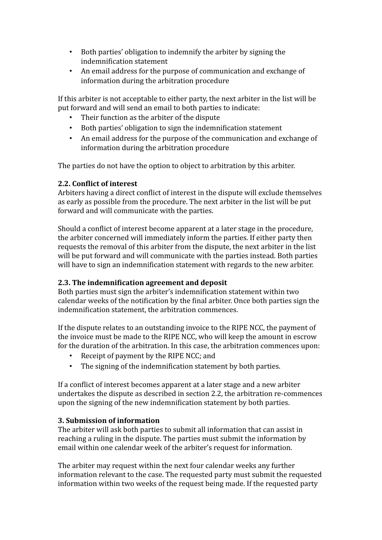- Both parties' obligation to indemnify the arbiter by signing the indemnification statement
- An email address for the purpose of communication and exchange of information during the arbitration procedure

If this arbiter is not acceptable to either party, the next arbiter in the list will be put forward and will send an email to both parties to indicate:

- Their function as the arbiter of the dispute
- Both parties' obligation to sign the indemnification statement
- An email address for the purpose of the communication and exchange of information during the arbitration procedure

The parties do not have the option to object to arbitration by this arbiter.

### **2.2. Conflict of interest**

Arbiters having a direct conflict of interest in the dispute will exclude themselves as early as possible from the procedure. The next arbiter in the list will be put forward and will communicate with the parties.

Should a conflict of interest become apparent at a later stage in the procedure, the arbiter concerned will immediately inform the parties. If either party then requests the removal of this arbiter from the dispute, the next arbiter in the list will be put forward and will communicate with the parties instead. Both parties will have to sign an indemnification statement with regards to the new arbiter.

### **2.3. The indemnification agreement and deposit**

Both parties must sign the arbiter's indemnification statement within two calendar weeks of the notification by the final arbiter. Once both parties sign the indemnification statement, the arbitration commences.

If the dispute relates to an outstanding invoice to the RIPE NCC, the payment of the invoice must be made to the RIPE NCC, who will keep the amount in escrow for the duration of the arbitration. In this case, the arbitration commences upon:

- Receipt of payment by the RIPE NCC; and
- The signing of the indemnification statement by both parties.

If a conflict of interest becomes apparent at a later stage and a new arbiter undertakes the dispute as described in section 2.2, the arbitration re-commences upon the signing of the new indemnification statement by both parties.

### **3. Submission of information**

The arbiter will ask both parties to submit all information that can assist in reaching a ruling in the dispute. The parties must submit the information by email within one calendar week of the arbiter's request for information.

The arbiter may request within the next four calendar weeks any further information relevant to the case. The requested party must submit the requested information within two weeks of the request being made. If the requested party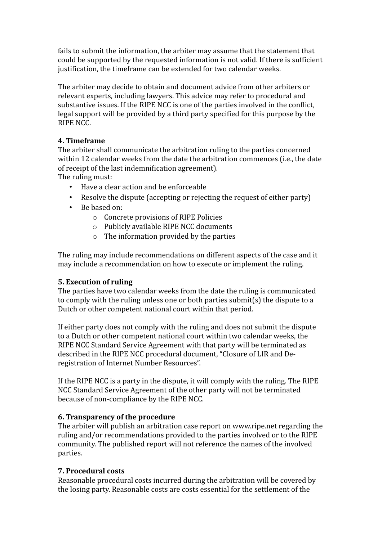fails to submit the information, the arbiter may assume that the statement that could be supported by the requested information is not valid. If there is sufficient justification, the timeframe can be extended for two calendar weeks.

The arbiter may decide to obtain and document advice from other arbiters or relevant experts, including lawyers. This advice may refer to procedural and substantive issues. If the RIPE NCC is one of the parties involved in the conflict, legal support will be provided by a third party specified for this purpose by the RIPE NCC.

### **4. Timeframe**

The arbiter shall communicate the arbitration ruling to the parties concerned within 12 calendar weeks from the date the arbitration commences (i.e., the date of receipt of the last indemnification agreement).

The ruling must:

- Have a clear action and be enforceable
- Resolve the dispute (accepting or rejecting the request of either party)
- Be based on:
	- o Concrete provisions of RIPE Policies
	- o Publicly available RIPE NCC documents
	- o The information provided by the parties

The ruling may include recommendations on different aspects of the case and it may include a recommendation on how to execute or implement the ruling.

### **5. Execution of ruling**

The parties have two calendar weeks from the date the ruling is communicated to comply with the ruling unless one or both parties submit(s) the dispute to a Dutch or other competent national court within that period.

If either party does not comply with the ruling and does not submit the dispute to a Dutch or other competent national court within two calendar weeks, the RIPE NCC Standard Service Agreement with that party will be terminated as described in the RIPE NCC procedural document, "Closure of LIR and Deregistration of Internet Number Resources".

If the RIPE NCC is a party in the dispute, it will comply with the ruling. The RIPE NCC Standard Service Agreement of the other party will not be terminated because of non-compliance by the RIPE NCC.

### **6. Transparency of the procedure**

The arbiter will publish an arbitration case report on www.ripe.net regarding the ruling and/or recommendations provided to the parties involved or to the RIPE community. The published report will not reference the names of the involved parties.

## **7. Procedural costs**

Reasonable procedural costs incurred during the arbitration will be covered by the losing party. Reasonable costs are costs essential for the settlement of the